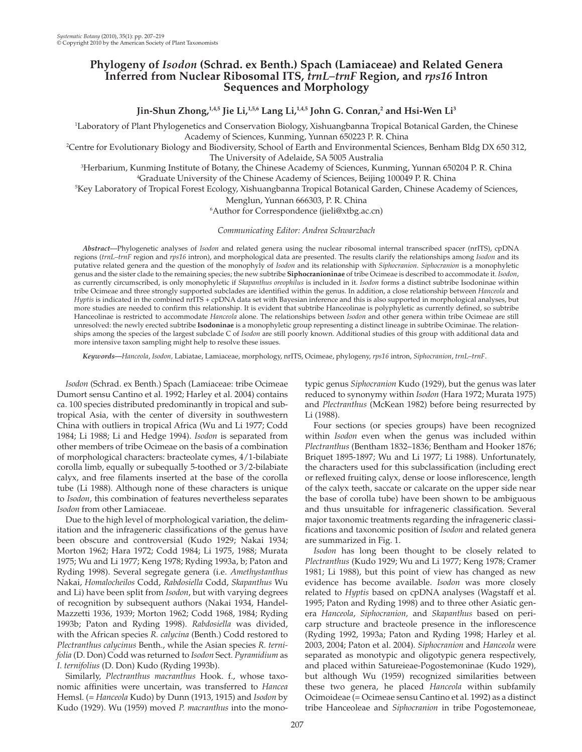# **Phylogeny of** *Isodon* **(Schrad. ex Benth.) Spach (Lamiaceae) and Related Genera Inferred from Nuclear Ribosomal ITS,** *trnL–trnF* **Region, and** *rps16* **Intron Sequences and Morphology**

Jin-Shun Zhong,<sup>1,4,5</sup> Jie Li,<sup>1,5,6</sup> Lang Li,<sup>1,4,5</sup> John G. Conran,<sup>2</sup> and Hsi-Wen Li<sup>3</sup>

1 Laboratory of Plant Phylogenetics and Conservation Biology, Xishuangbanna Tropical Botanical Garden, the Chinese

Academy of Sciences, Kunming, Yunnan 650223 P. R. China<br>2Centre for Evolutionary Biology and Biodiversity, School of Earth and Environmental Sciences, Benham Bldg DX 650 312, The University of Adelaide, SA 5005 Australia<br>3Herbarium Kunming Institute of Botany, the Chinese Academy of Sciences, Kur

Herbarium, Kunming Institute of Botany, the Chinese Academy of Sciences, Kunming, Yunnan 650204 P. R. China<br><sup>4</sup>Graduate University of the Chinese Academy of Sciences, Beijing 100049 P. R. China <sup>4</sup>Graduate University of the Chinese Academy of Sciences, Beijing 100049 P.R. China

<sup>5</sup>Key Laboratory of Tropical Forest Ecology, Xishuangbanna Tropical Botanical Garden, Chinese Academy of Sciences,

Menglun, Yunnan 666303, P. R. China

 $6$ Author for Correspondence (jieli@xtbg.ac.cn)

## *Communicating Editor: Andrea Schwarzbach*

 *Abstract—* Phylogenetic analyses of *Isodon* and related genera using the nuclear ribosomal internal transcribed spacer (nrITS), cpDNA regions ( *trnL–trnF* region and *rps16* intron), and morphological data are presented. The results clarify the relationships among *Isodon* and its putative related genera and the question of the monophyly of *Isodon* and its relationship with *Siphocranion* . *Siphocranion* is a monophyletic genus and the sister clade to the remaining species; the new subtribe **Siphocranioninae** of tribe Ocimeae is described to accommodate it. *Isodon* , as currently circumscribed, is only monophyletic if *Skapanthus oreophilus* is included in it. *Isodon* forms a distinct subtribe Isodoninae within tribe Ocimeae and three strongly supported subclades are identified within the genus. In addition, a close relationship between *Hanceola* and *Hyptis* is indicated in the combined nrITS + cpDNA data set with Bayesian inference and this is also supported in morphological analyses, but more studies are needed to confirm this relationship. It is evident that subtribe Hanceolinae is polyphyletic as currently defined, so subtribe Hanceolinae is restricted to accommodate *Hanceola* alone. The relationships between *Isodon* and other genera within tribe Ocimeae are still unresolved: the newly erected subtribe **Isodoninae** is a monophyletic group representing a distinct lineage in subtribe Ociminae. The relationships among the species of the largest subclade C of *Isodon* are still poorly known. Additional studies of this group with additional data and more intensive taxon sampling might help to resolve these issues.

 *Keywords—Hanceola* , *Isodon,* Labiatae , Lamiaceae , morphology , nrITS , Ocimeae , phylogeny , *rps16* intron , *Siphocranion* , *trnL–trnF* .

*Isodon* (Schrad. ex Benth.) Spach (Lamiaceae: tribe Ocimeae Dumort sensu Cantino et al. 1992; Harley et al. 2004) contains ca. 100 species distributed predominantly in tropical and subtropical Asia, with the center of diversity in southwestern China with outliers in tropical Africa (Wu and Li 1977; Codd 1984; Li 1988; Li and Hedge 1994). *Isodon* is separated from other members of tribe Ocimeae on the basis of a combination of morphological characters: bracteolate cymes, 4/1-bilabiate corolla limb, equally or subequally 5-toothed or 3/2-bilabiate calyx, and free filaments inserted at the base of the corolla tube (Li 1988). Although none of these characters is unique to *Isodon*, this combination of features nevertheless separates *Isodon* from other Lamiaceae.

 Due to the high level of morphological variation, the delimitation and the infrageneric classifications of the genus have been obscure and controversial (Kudo 1929; Nakai 1934; Morton 1962; Hara 1972; Codd 1984; Li 1975, 1988; Murata 1975; Wu and Li 1977; Keng 1978; Ryding 1993a, b; Paton and Ryding 1998). Several segregate genera (i.e. Amethystanthus Nakai, *Homalocheilos* Codd, *Rabdosiella* Codd, *Skapanthus* Wu and Li) have been split from *Isodon*, but with varying degrees of recognition by subsequent authors (Nakai 1934, Handel-Mazzetti 1936, 1939; Morton 1962; Codd 1968, 1984; Ryding 1993b; Paton and Ryding 1998). *Rabdosiella* was divided, with the African species *R. calycina* (Benth.) Codd restored to *Plectranthus calycinus* Benth., while the Asian species *R. ternifolia* (D. Don) Codd was returned to *Isodon* Sect. *Pyramidium* as *I. ternifolius* (D. Don) Kudo ( Ryding 1993b ).

 Similarly, *Plectranthus macranthus* Hook. f., whose taxonomic affinities were uncertain, was transferred to *Hancea* Hemsl. (= *Hanceola* Kudo) by Dunn (1913, 1915) and *Isodon* by Kudo (1929) . Wu (1959) moved *P. macranthus* into the monotypic genus *Siphocranion* Kudo (1929), but the genus was later reduced to synonymy within *Isodon* (Hara 1972; Murata 1975) and *Plectranthus* (McKean 1982) before being resurrected by Li (1988).

 Four sections (or species groups) have been recognized within *Isodon* even when the genus was included within *Plectranthus* (Bentham 1832–1836; Bentham and Hooker 1876; Briquet 1895-1897; Wu and Li 1977; Li 1988). Unfortunately, the characters used for this subclassification (including erect or reflexed fruiting calyx, dense or loose inflorescence, length of the calyx teeth, saccate or calcarate on the upper side near the base of corolla tube) have been shown to be ambiguous and thus unsuitable for infrageneric classification. Several major taxonomic treatments regarding the infrageneric classifications and taxonomic position of *Isodon* and related genera are summarized in Fig. 1.

*Isodon* has long been thought to be closely related to Plectranthus (Kudo 1929; Wu and Li 1977; Keng 1978; Cramer 1981; Li 1988), but this point of view has changed as new evidence has become available. *Isodon* was more closely related to *Hyptis* based on cpDNA analyses (Wagstaff et al. 1995; Paton and Ryding 1998) and to three other Asiatic genera *Hanceola* , *Siphocranion,* and *Skapanthus* based on pericarp structure and bracteole presence in the inflorescence (Ryding 1992, 1993a; Paton and Ryding 1998; Harley et al. 2003, 2004; Paton et al. 2004). *Siphocranion* and *Hanceola* were separated as monotypic and oligotypic genera respectively, and placed within Satureieae-Pogostemoninae (Kudo 1929), but although Wu (1959) recognized similarities between these two genera, he placed *Hanceola* within subfamily Ocimoideae (= Ocimeae sensu Cantino et al. 1992) as a distinct tribe Hanceoleae and *Siphocranion* in tribe Pogostemoneae,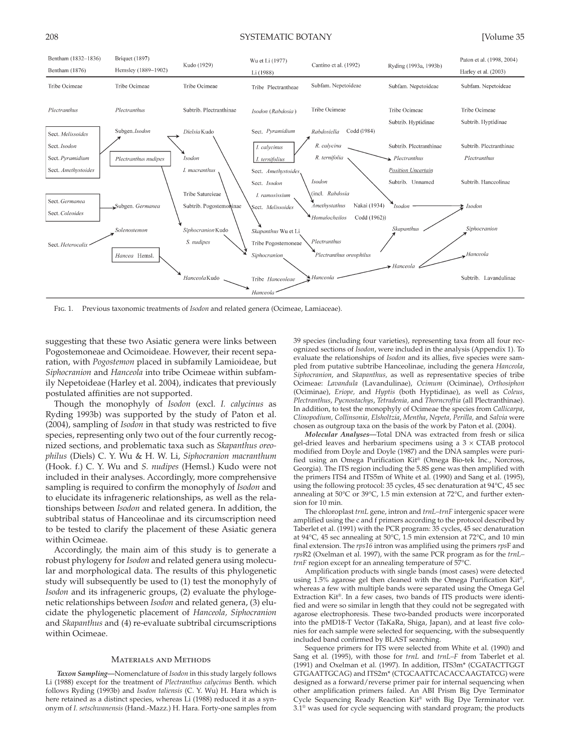

FIG. 1. Previous taxonomic treatments of *Isodon* and related genera (Ocimeae, Lamiaceae).

suggesting that these two Asiatic genera were links between Pogostemoneae and Ocimoideae. However, their recent separation, with *Pogostemon* placed in subfamily Lamioideae, but *Siphocranion* and *Hanceola* into tribe Ocimeae within subfamily Nepetoideae (Harley et al. 2004), indicates that previously postulated affinities are not supported.

 Though the monophyly of *Isodon* (excl. *I. calycinus* as Ryding 1993b) was supported by the study of Paton et al. (2004), sampling of *Isodon* in that study was restricted to five species, representing only two out of the four currently recognized sections, and problematic taxa such as *Skapanthus oreophilus* (Diels) C. Y. Wu & H. W. Li, *Siphocranion macranthum* (Hook. f.) C. Y. Wu and *S. nudipes* (Hemsl.) Kudo were not included in their analyses. Accordingly, more comprehensive sampling is required to confirm the monophyly of *Isodon* and to elucidate its infrageneric relationships, as well as the relationships between *Isodon* and related genera. In addition, the subtribal status of Hanceolinae and its circumscription need to be tested to clarify the placement of these Asiatic genera within Ocimeae.

 Accordingly, the main aim of this study is to generate a robust phylogeny for *Isodon* and related genera using molecular and morphological data. The results of this phylogenetic study will subsequently be used to (1) test the monophyly of *Isodon* and its infrageneric groups, (2) evaluate the phylogenetic relationships between *Isodon* and related genera, (3) elucidate the phylogenetic placement of *Hanceola, Siphocranion* and *Skapanthus* and (4) re-evaluate subtribal circumscriptions within Ocimeae.

### Materials and Methods

 *Taxon Sampling—* Nomenclature of *Isodon* in this study largely follows Li (1988) except for the treatment of *Plectranthus calycinus* Benth. which follows Ryding (1993b) and *Isodon taliensis* (C. Y. Wu) H. Hara which is here retained as a distinct species, whereas Li (1988) reduced it as a synonym of *I. setschwanensis* (Hand.-Mazz.) H. Hara. Forty-one samples from

39 species (including four varieties), representing taxa from all four recognized sections of *Isodon* , were included in the analysis (Appendix 1). To evaluate the relationships of *Isodon* and its allies, five species were sampled from putative subtribe Hanceolinae, including the genera *Hanceola*, *Siphocranion* , and *Skapanthus,* as well as representative species of tribe Ocimeae: *Lavandula* (Lavandulinae), *Ocimum* (Ociminae), *Orthosiphon* (Ociminae), *Eriope,* and *Hyptis* (both Hyptidinae), as well as *Coleus* , *Plectranthus* , *Pycnostachys* , *Tetradenia,* and *Thorncroftia* (all Plectranthinae). In addition, to test the monophyly of Ocimeae the species from *Callicarpa* , *Clinopodium, Collinsonia, Elsholtzia* , *Mentha* , *Nepeta, Perilla,* and *Salvia* were chosen as outgroup taxa on the basis of the work by Paton et al. (2004) .

 *Molecular Analyses—* Total DNA was extracted from fresh or silica gel-dried leaves and herbarium specimens using a  $3 \times CTAB$  protocol modified from Doyle and Doyle (1987) and the DNA samples were purified using an Omega Purification Kit® (Omega Bio-tek Inc., Norcross, Georgia). The ITS region including the 5.8S gene was then amplified with the primers ITS4 and ITS5m of White et al. (1990) and Sang et al. (1995), using the following protocol: 35 cycles, 45 sec denaturation at 94°C, 45 sec annealing at 50°C or 39°C, 1.5 min extension at 72°C, and further extension for 10 min.

 The chloroplast *trnL* gene, intron and *trnL–trnF* intergenic spacer were amplified using the c and f primers according to the protocol described by Taberlet et al. (1991) with the PCR program: 35 cycles, 45 sec denaturation at 94°C, 45 sec annealing at 50°C, 1.5 min extension at 72°C, and 10 min final extension. The *rps16* intron was amplified using the primers *rpsF* and *rps* R2 ( Oxelman et al. 1997 ), with the same PCR program as for the *trnL– trnF* region except for an annealing temperature of 57°C.

 Amplification products with single bands (most cases) were detected using 1.5% agarose gel then cleaned with the Omega Purification Kit®, whereas a few with multiple bands were separated using the Omega Gel Extraction Kit®. In a few cases, two bands of ITS products were identified and were so similar in length that they could not be segregated with agarose electrophoresis. These two-banded products were incorporated into the pMD18-T Vector (TaKaRa, Shiga, Japan), and at least five colonies for each sample were selected for sequencing, with the subsequently included band confirmed by BLAST searching.

 Sequence primers for ITS were selected from White et al. (1990) and Sang et al. (1995), with those for *trnL* and *trnL–F* from Taberlet et al. (1991) and Oxelman et al. (1997) . In addition, ITS3m\* (CGATACTTGGT GTGAATTGCAG) and ITS2m\* (CTGCAATTCACACCAAGTATCG) were designed as a forward/reverse primer pair for internal sequencing when other amplification primers failed. An ABI Prism Big Dye Terminator Cycle Sequencing Ready Reaction Kit® with Big Dye Terminator ver. 3.1® was used for cycle sequencing with standard program; the products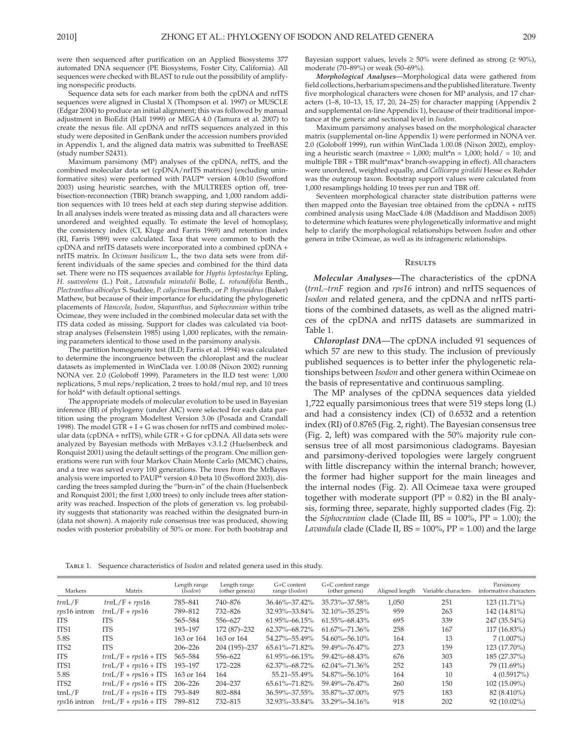were then sequenced after purification on an Applied Biosystems 377 automated DNA sequencer (PE Biosystems, Foster City, California). All sequences were checked with BLAST to rule out the possibility of amplifying nonspecific products.

 Sequence data sets for each marker from both the cpDNA and nrITS sequences were aligned in Clustal X (Thompson et al. 1997) or MUSCLE (Edgar 2004) to produce an initial alignment; this was followed by manual adjustment in BioEdit (Hall 1999) or MEGA 4.0 (Tamura et al. 2007) to create the nexus file. All cpDNA and nrITS sequences analyzed in this study were deposited in GenBank under the accession numbers provided in Appendix 1, and the aligned data matrix was submitted to TreeBASE (study number S2431).

 Maximum parsimony (MP) analyses of the cpDNA, nrITS, and the combined molecular data set (cpDNA/nrITS matrices) (excluding uninformative sites) were performed with PAUP\* version 4.0b10 (Swofford 2003) using heuristic searches, with the MULTREES option off, treebisection-reconnection (TBR) branch swapping, and 1,000 random addition sequences with 10 trees held at each step during stepwise addition. In all analyses indels were treated as missing data and all characters were unordered and weighted equally. To estimate the level of homoplasy, the consistency index (CI, Kluge and Farris 1969) and retention index (RI, Farris 1989) were calculated. Taxa that were common to both the cpDNA and nrITS datasets were incorporated into a combined cpDNA + nrITS matrix. In *Ocimum basilicum* L., the two data sets were from different individuals of the same species and combined for the third data set. There were no ITS sequences available for *Hyptis leptostachys* Epling, *H. suaveolens* (L.) Poit., *Lavandula minutolii* Bolle, *L. rotundifolia* Benth., *Plectranthus albicalyx* S. Suddee, *P. calycinus* Benth., or *P. thyrsoideus* (Baker) Mathew, but because of their importance for elucidating the phylogenetic placements of *Hanceola* , *Isodon* , *Skapanthus* , and *Siphocranion* within tribe Ocimeae, they were included in the combined molecular data set with the ITS data coded as missing. Support for clades was calculated via bootstrap analyses (Felsenstein 1985) using 1,000 replicates, with the remaining parameters identical to those used in the parsimony analysis.

The partition homogeneity test (ILD; Farris et al. 1994) was calculated to determine the incongruence between the chloroplast and the nuclear datasets as implemented in WinClada ver. 1.00.08 (Nixon 2002) running NONA ver. 2.0 (Goloboff 1999). Parameters in the ILD test were: 1,000 replications, 5 mul reps/replication, 2 trees to hold/mul rep, and 10 trees for hold\* with default optional settings.

 The appropriate models of molecular evolution to be used in Bayesian inference (BI) of phylogeny (under AIC) were selected for each data partition using the program Modeltest Version 3.06 (Posada and Crandall 1998). The model GTR  $+$  I  $+$  G was chosen for nrITS and combined molecular data (cpDNA + nrITS), while GTR + G for cpDNA. All data sets were analyzed by Bayesian methods with MrBayes v.3.1.2 ( Huelsenbeck and Ronquist 2001) using the default settings of the program. One million generations were run with four Markov Chain Monte Carlo (MCMC) chains, and a tree was saved every 100 generations. The trees from the MrBayes analysis were imported to PAUP\* version 4.0 beta 10 (Swofford 2003), discarding the trees sampled during the "burn-in" of the chain (Huelsenbeck and Ronquist 2001; the first 1,000 trees) to only include trees after stationarity was reached. Inspection of the plots of generation vs. log probability suggests that stationarity was reached within the designated burn-in (data not shown). A majority rule consensus tree was produced, showing nodes with posterior probability of 50% or more. For both bootstrap and

Bayesian support values, levels  $\geq 50\%$  were defined as strong ( $\geq 90\%$ ), moderate (70–89%) or weak (50–69%).

 *Morphological Analyses—* Morphological data were gathered from field collections, herbarium specimens and the published literature. Twenty five morphological characters were chosen for MP analysis, and 17 characters (1–8, 10–13, 15, 17, 20, 24–25) for character mapping (Appendix 2 and supplemental on-line Appendix 1), because of their traditional importance at the generic and sectional level in *Isodon* .

 Maximum parsimony analyses based on the morphological character matrix (supplemental on-line Appendix 1) were performed in NONA ver. 2.0 (Goloboff 1999), run within WinClada 1.00.08 (Nixon 2002), employing a heuristic search (maxtree =  $1,000$ ; mult<sup>\*</sup>n =  $1,000$ ; hold/ =  $10$ ; and multiple TBR + TBR mult\*max\* branch-swapping in effect). All characters were unordered, weighted equally, and *Callicarpa giraldii* Hesse ex Rehder was the outgroup taxon. Bootstrap support values were calculated from 1,000 resamplings holding 10 trees per run and TBR off.

 Seventeen morphological character state distribution patterns were then mapped onto the Bayesian tree obtained from the cpDNA + nrITS combined analysis using MacClade 4.08 (Maddison and Maddison 2005) to determine which features were phylogenetically informative and might help to clarify the morphological relationships between *Isodon* and other genera in tribe Ocimeae, as well as its infrageneric relationships.

#### **RESULTS**

*Molecular Analyses*—The characteristics of the cpDNA (*trnL–trnF* region and *rps16* intron) and nrITS sequences of *Isodon* and related genera, and the cpDNA and nrITS partitions of the combined datasets, as well as the aligned matrices of the cpDNA and nrITS datasets are summarized in Table 1.

*Chloroplast DNA—The cpDNA included 91 sequences of* which 57 are new to this study. The inclusion of previously published sequences is to better infer the phylogenetic relationships between *Isodon* and other genera within Ocimeae on the basis of representative and continuous sampling.

 The MP analyses of the cpDNA sequences data yielded 1,722 equally parsimonious trees that were 519 steps long (L) and had a consistency index (CI) of 0.6532 and a retention index (RI) of 0.8765 (Fig. 2, right). The Bayesian consensus tree (Fig. 2, left) was compared with the  $50\%$  majority rule consensus tree of all most parsimonious cladograms. Bayesian and parsimony-derived topologies were largely congruent with little discrepancy within the internal branch; however, the former had higher support for the main lineages and the internal nodes (Fig. 2). All Ocimeae taxa were grouped together with moderate support ( $PP = 0.82$ ) in the BI analysis, forming three, separate, highly supported clades (Fig. 2): the *Siphocranion* clade (Clade III,  $BS = 100\%$ ,  $PP = 1.00$ ); the *Lavandula* clade (Clade II,  $BS = 100\%$ ,  $PP = 1.00$ ) and the large

|  | TABLE 1. Sequence characteristics of Isodon and related genera used in this study. |  |  |
|--|------------------------------------------------------------------------------------|--|--|
|--|------------------------------------------------------------------------------------|--|--|

| Markers          | Matrix                 | Length range<br>(Ísodon) | Length range<br>(other genera) | G+C content<br>range (Isodon) | G+C content range<br>(other genera) | Aligned length | Variable characters | Parsimony<br>informative characters |
|------------------|------------------------|--------------------------|--------------------------------|-------------------------------|-------------------------------------|----------------|---------------------|-------------------------------------|
| trnL/F           | $trnL/F + rps16$       | 785-841                  | 740–876                        | 36.46%-37.42%                 | 35.73%-37.58%                       | 1,050          | 251                 | 123 (11.71%)                        |
| rps16 intron     | $trnL/F + rps16$       | 789-812                  | 732-826                        | 32.93%-33.84%                 | 32.10%-35.25%                       | 959            | 263                 | 142 (14.81%)                        |
| ITS.             | ITS.                   | 565–584                  | 556-627                        | $61.95\% - 66.15\%$           | 61.55%-68.43%                       | 695            | 339                 | 247 (35.54%)                        |
| ITS <sub>1</sub> | <b>ITS</b>             | 193-197                  | 172 (87)-232                   | 62.37%-68.72%                 | $61.67\% - 71.36\%$                 | 258            | 167                 | $117(16.83\%)$                      |
| 5.8S             | <b>ITS</b>             | 163 or 164               | 163 or 164                     | 54.27%-55.49%                 | 54.60%-56.10%                       | 164            | 13                  | $7(1.007\%)$                        |
| ITS <sub>2</sub> | <b>ITS</b>             | $206 - 226$              | 204 (195)-237                  | 65.61%-71.82%                 | 59.49%-76.47%                       | 273            | 159                 | 123 (17.70%)                        |
| ITS              | $trnL/F + rps16 + ITS$ | 565–584                  | 556-622                        | $61.95\% - 66.15\%$           | 59.42%-68.43%                       | 676            | 303                 | 185 (27.37%)                        |
| ITS <sub>1</sub> | $trnL/F + rps16 + ITS$ | 193-197                  | 172-228                        | $62.37\% - 68.72\%$           | $62.04\% - 71.36\%$                 | 252            | 143                 | 79 (11.69%)                         |
| 5.8S             | $trnL/F + rps16 + ITS$ | 163 or 164               | 164                            | 55.21-55.49%                  | 54.87%-56.10%                       | 164            | 10                  | 4(0.5917%)                          |
| ITS <sub>2</sub> | $trnL/F + rps16 + ITS$ | $206 - 226$              | 204-237                        | 65.61%-71.82%                 | 59.49%-76.47%                       | 260            | 150                 | 102 (15.09%)                        |
| trnL/F           | $trnL/F + rps16 + ITS$ | 793-849                  | 802-884                        | 36.59%-37.55%                 | $35.87\% - 37.00\%$                 | 975            | 183                 | 82 (8.410%)                         |
| rps16 intron     | $trnL/F + rps16 + ITS$ | 789–812                  | 732-815                        | 32.93%-33.84%                 | $33.29\% - 34.16\%$                 | 918            | 202                 | $92(10.02\%)$                       |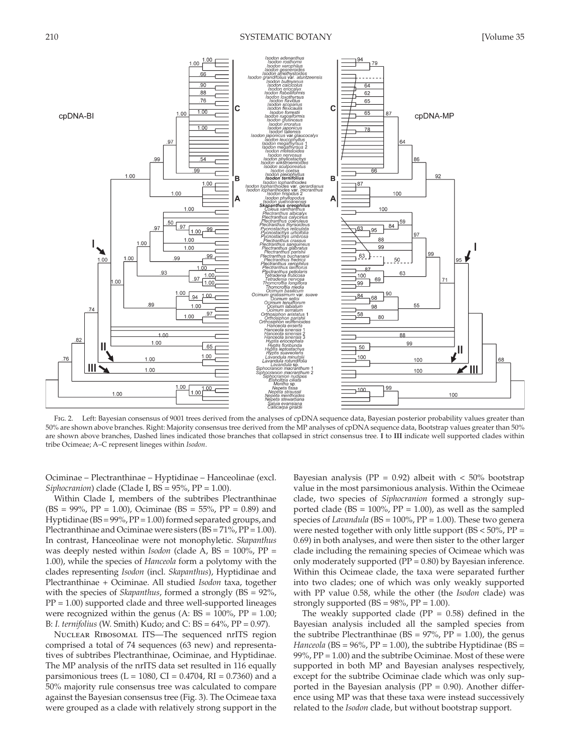

FIG. 2. Left: Bayesian consensus of 9001 trees derived from the analyses of cpDNA sequence data, Bayesian posterior probability values greater than 50% are shown above branches. Right: Majority consensus tree derived from the MP analyses of cpDNA sequence data, Bootstrap values greater than 50% are shown above branches, Dashed lines indicated those branches that collapsed in strict consensus tree. **I** to **III** indicate well supported clades within tribe Ocimeae; A–C represent lineges within *Isodon* .

Ociminae – Plectranthinae – Hyptidinae – Hanceolinae (excl.  $Siphocranion$ ) clade (Clade I, BS =  $95\%$ , PP = 1.00).

 Within Clade I, members of the subtribes Plectranthinae  $(BS = 99\%, PP = 1.00)$ , Ociminae  $(BS = 55\%, PP = 0.89)$  and Hyptidinae (BS = 99%, PP = 1.00) formed separated groups, and Plectranthinae and Ociminae were sisters (BS = 71%, PP = 1.00). In contrast, Hanceolinae were not monophyletic. *Skapanthus* was deeply nested within *Isodon* (clade A, BS = 100%, PP = 1.00), while the species of *Hanceola* form a polytomy with the clades representing *Isodon* (incl. *Skapanthus* ), Hyptidinae and Plectranthinae + Ociminae. All studied *Isodon* taxa, together with the species of *Skapanthus*, formed a strongly (BS = 92%,  $PP = 1.00$ ) supported clade and three well-supported lineages were recognized within the genus (A:  $BS = 100\%$ ,  $PP = 1.00$ ; B: *I. ternifolius* (W. Smith) Kudo; and C: BS = 64%, PP = 0.97).

Nuclear Ribosomal ITS— The sequenced nrITS region comprised a total of 74 sequences (63 new) and representatives of subtribes Plectranthinae, Ociminae, and Hyptidinae. The MP analysis of the nrITS data set resulted in 116 equally parsimonious trees (L = 1080, CI = 0.4704, RI = 0.7360) and a 50% majority rule consensus tree was calculated to compare against the Bayesian consensus tree (Fig. 3). The Ocimeae taxa were grouped as a clade with relatively strong support in the Bayesian analysis (PP =  $0.92$ ) albeit with <  $50\%$  bootstrap value in the most parsimonious analysis. Within the Ocimeae clade, two species of *Siphocranion* formed a strongly supported clade ( $BS = 100\%$ ,  $PP = 1.00$ ), as well as the sampled species of *Lavandula* (BS = 100%, PP = 1.00). These two genera were nested together with only little support  $(BS < 50\% , PP =$ 0.69) in both analyses, and were then sister to the other larger clade including the remaining species of Ocimeae which was only moderately supported (PP = 0.80) by Bayesian inference. Within this Ocimeae clade, the taxa were separated further into two clades; one of which was only weakly supported with PP value 0.58, while the other (the *Isodon* clade) was strongly supported  $(BS = 98\%, PP = 1.00)$ .

The weakly supported clade ( $PP = 0.58$ ) defined in the Bayesian analysis included all the sampled species from the subtribe Plectranthinae (BS =  $97\%$ , PP = 1.00), the genus *Hanceola* (BS =  $96\%$ , PP = 1.00), the subtribe Hyptidinae (BS = 99%, PP = 1.00) and the subtribe Ociminae. Most of these were supported in both MP and Bayesian analyses respectively, except for the subtribe Ociminae clade which was only supported in the Bayesian analysis ( $PP = 0.90$ ). Another difference using MP was that these taxa were instead successively related to the *Isodon* clade, but without bootstrap support.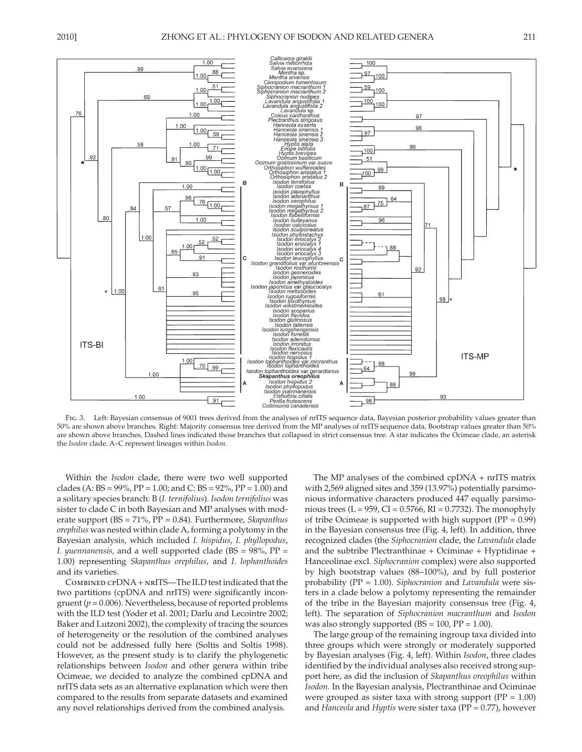

FIG. 3. Left: Bayesian consensus of 9001 trees derived from the analyses of nrITS sequence data, Bayesian posterior probability values greater than 50% are shown above branches. Right: Majority consensus tree derived from the MP analyses of nrITS sequence data, Bootstrap values greater than 50% are shown above branches, Dashed lines indicated those branches that collapsed in strict consensus tree. A star indicates the Ocimeae clade, an asterisk the *Isodon* clade. A–C represent lineages within *Isodon.*

 Within the *Isodon* clade, there were two well supported clades (A:  $BS = 99\%$ ,  $PP = 1.00$ ; and C:  $BS = 92\%$ ,  $PP = 1.00$ ) and a solitary species branch: B ( *I. ternifolius* ). *Isodon ternifolius* was sister to clade C in both Bayesian and MP analyses with moderate support (BS = 71%, PP = 0.84). Furthermore, *Skapanthus orephilus* was nested within clade A, forming a polytomy in the Bayesian analysis, which included *I. hispidus* , *I. phyllopodus* , *I. yuennanensis,* and a well supported clade (BS = 98%, PP = 1.00) representing *Skapanthus orephilus,* and *I. lophanthoides* and its varieties.

Combined cpDNA + nrITS— The ILD test indicated that the two partitions (cpDNA and nrITS) were significantly incongruent ( $p = 0.006$ ). Nevertheless, because of reported problems with the ILD test (Yoder et al. 2001; Darlu and Lecointre 2002; Baker and Lutzoni 2002 ), the complexity of tracing the sources of heterogeneity or the resolution of the combined analyses could not be addressed fully here (Soltis and Soltis 1998). However, as the present study is to clarify the phylogenetic relationships between *Isodon* and other genera within tribe Ocimeae, we decided to analyze the combined cpDNA and nrITS data sets as an alternative explanation which were then compared to the results from separate datasets and examined any novel relationships derived from the combined analysis.

 The MP analyses of the combined cpDNA + nrITS matrix with 2,569 aligned sites and 359 (13.97%) potentially parsimonious informative characters produced 447 equally parsimonious trees (L =  $959$ , CI = 0.5766, RI = 0.7732). The monophyly of tribe Ocimeae is supported with high support ( $PP = 0.99$ ) in the Bayesian consensus tree (Fig. 4, left). In addition, three recognized clades (the *Siphocranion* clade, the *Lavandula* clade and the subtribe Plectranthinae + Ociminae + Hyptidinae + Hanceolinae excl. *Siphocranion* complex) were also supported by high bootstrap values (88–100%), and by full posterior probability (PP = 1.00). *Siphocranion* and *Lavandula* were sisters in a clade below a polytomy representing the remainder of the tribe in the Bayesian majority consensus tree (Fig. 4, left). The separation of *Siphocranion macranthum* and *Isodon* was also strongly supported  $(BS = 100, PP = 1.00)$ .

 The large group of the remaining ingroup taxa divided into three groups which were strongly or moderately supported by Bayesian analyses (Fig. 4, left). Within *Isodon*, three clades identified by the individual analyses also received strong support here, as did the inclusion of *Skapanthus oreophilus* within *Isodon* . In the Bayesian analysis, Plectranthinae and Ociminae were grouped as sister taxa with strong support ( $PP = 1.00$ ) and *Hanceola* and *Hyptis* were sister taxa (PP = 0.77), however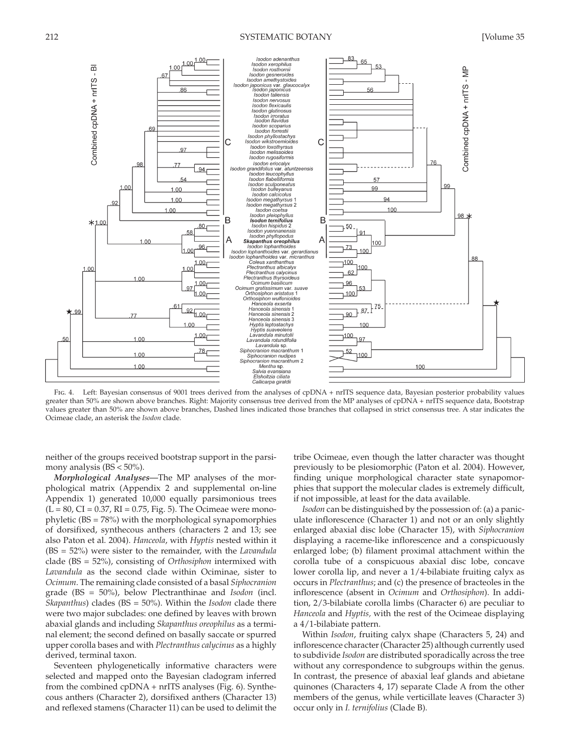

FIG. 4. Left: Bayesian consensus of 9001 trees derived from the analyses of cpDNA + nrITS sequence data, Bayesian posterior probability values greater than 50% are shown above branches. Right: Majority consensus tree derived from the MP analyses of cpDNA + nrITS sequence data, Bootstrap values greater than 50% are shown above branches, Dashed lines indicated those branches that collapsed in strict consensus tree. A star indicates the Ocimeae clade, an asterisk the *Isodon* clade.

neither of the groups received bootstrap support in the parsimony analysis (BS < 50%).

 *Morphological Analyses—* The MP analyses of the morphological matrix (Appendix 2 and supplemental on-line Appendix 1) generated 10,000 equally parsimonious trees  $(L = 80, CI = 0.37, RI = 0.75, Fig. 5)$ . The Ocimeae were monophyletic (BS = 78%) with the morphological synapomorphies of dorsifixed, synthecous anthers (characters 2 and 13; see also Paton et al. 2004). *Hanceola*, with *Hyptis* nested within it (BS = 52%) were sister to the remainder, with the *Lavandula* clade (BS = 52%), consisting of *Orthosiphon* intermixed with *Lavandula* as the second clade within Ociminae, sister to *Ocimum* . The remaining clade consisted of a basal *Siphocranion* grade (BS = 50%), below Plectranthinae and *Isodon* (incl. *Skapanthus* ) clades (BS = 50%). Within the *Isodon* clade there were two major subclades: one defined by leaves with brown abaxial glands and including *Skapanthus oreophilus* as a terminal element; the second defined on basally saccate or spurred upper corolla bases and with *Plectranthus calycinus* as a highly derived, terminal taxon.

 Seventeen phylogenetically informative characters were selected and mapped onto the Bayesian cladogram inferred from the combined  $cpDNA + nrITS$  analyses (Fig. 6). Synthecous anthers (Character 2), dorsifixed anthers (Character 13) and reflexed stamens (Character 11) can be used to delimit the tribe Ocimeae, even though the latter character was thought previously to be plesiomorphic (Paton et al. 2004). However, finding unique morphological character state synapomorphies that support the molecular clades is extremely difficult, if not impossible, at least for the data available.

*Isodon* can be distinguished by the possession of: (a) a paniculate inflorescence (Character 1) and not or an only slightly enlarged abaxial disc lobe (Character 15), with *Siphocranion* displaying a raceme-like inflorescence and a conspicuously enlarged lobe; (b) filament proximal attachment within the corolla tube of a conspicuous abaxial disc lobe, concave lower corolla lip, and never a 1/4-bilabiate fruiting calyx as occurs in *Plectranthus* ; and (c) the presence of bracteoles in the inflorescence (absent in *Ocimum* and *Orthosiphon*). In addition, 2/3-bilabiate corolla limbs (Character 6) are peculiar to *Hanceola* and *Hyptis,* with the rest of the Ocimeae displaying a 4/1-bilabiate pattern.

Within *Isodon*, fruiting calyx shape (Characters 5, 24) and inflorescence character (Character 25) although currently used to subdivide *Isodon* are distributed sporadically across the tree without any correspondence to subgroups within the genus. In contrast, the presence of abaxial leaf glands and abietane quinones (Characters 4, 17) separate Clade A from the other members of the genus, while verticillate leaves (Character 3) occur only in *I. ternifolius* (Clade B).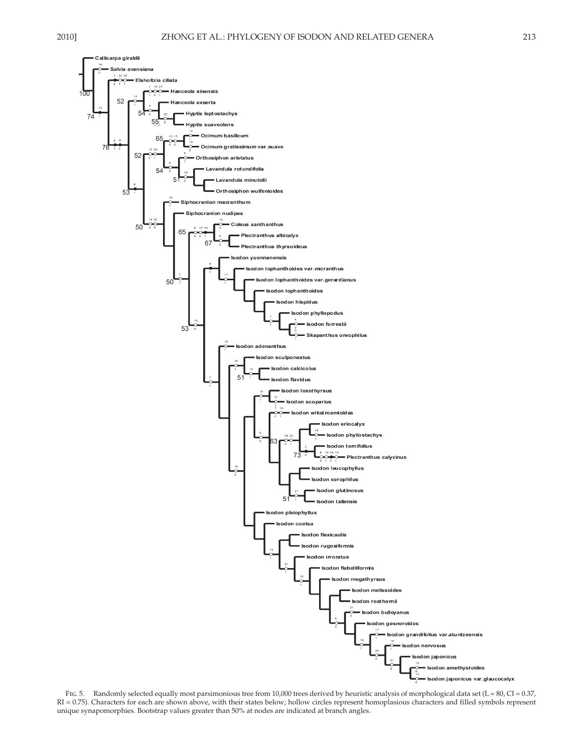



Fig. 5. Randomly selected equally most parsimonious tree from 10,000 trees derived by heuristic analysis of morphological data set (L = 80, CI = 0.37, RI = 0.75). Characters for each are shown above, with their states below; hollow circles represent homoplasious characters and filled symbols represent unique synapomorphies. Bootstrap values greater than 50% at nodes are indicated at branch angles.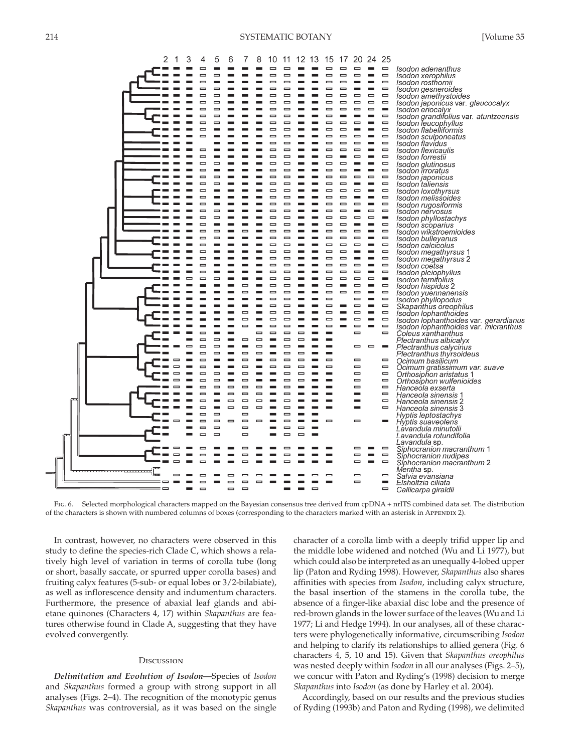

FIG. 6. Selected morphological characters mapped on the Bayesian consensus tree derived from cpDNA + nrITS combined data set. The distribution of the characters is shown with numbered columns of boxes (corresponding to the characters marked with an asterisk in APPENDIX 2).

 In contrast, however, no characters were observed in this study to define the species-rich Clade C, which shows a relatively high level of variation in terms of corolla tube (long or short, basally saccate, or spurred upper corolla bases) and fruiting calyx features (5-sub- or equal lobes or 3/2-bilabiate), as well as inflorescence density and indumentum characters. Furthermore, the presence of abaxial leaf glands and abietane quinones (Characters 4, 17) within *Skapanthus* are features otherwise found in Clade A, suggesting that they have evolved convergently.

## **DISCUSSION**

 *Delimitation and Evolution of Isodon—* Species of *Isodon* and *Skapanthus* formed a group with strong support in all analyses (Figs. 2–4). The recognition of the monotypic genus *Skapanthus* was controversial, as it was based on the single

character of a corolla limb with a deeply trifid upper lip and the middle lobe widened and notched ( Wu and Li 1977 ), but which could also be interpreted as an unequally 4-lobed upper lip ( Paton and Ryding 1998 ). However, *Skapanthus* also shares affinities with species from *Isodon*, including calyx structure, the basal insertion of the stamens in the corolla tube, the absence of a finger-like abaxial disc lobe and the presence of red-brown glands in the lower surface of the leaves ( Wu and Li 1977; Li and Hedge 1994). In our analyses, all of these characters were phylogenetically informative, circumscribing *Isodon* and helping to clarify its relationships to allied genera (Fig. 6) characters 4, 5, 10 and 15). Given that *Skapanthus oreophilus* was nested deeply within *Isodon* in all our analyses (Figs. 2-5), we concur with Paton and Ryding's (1998) decision to merge *Skapanthus* into *Isodon* (as done by Harley et al. 2004).

 Accordingly, based on our results and the previous studies of Ryding (1993b) and Paton and Ryding (1998), we delimited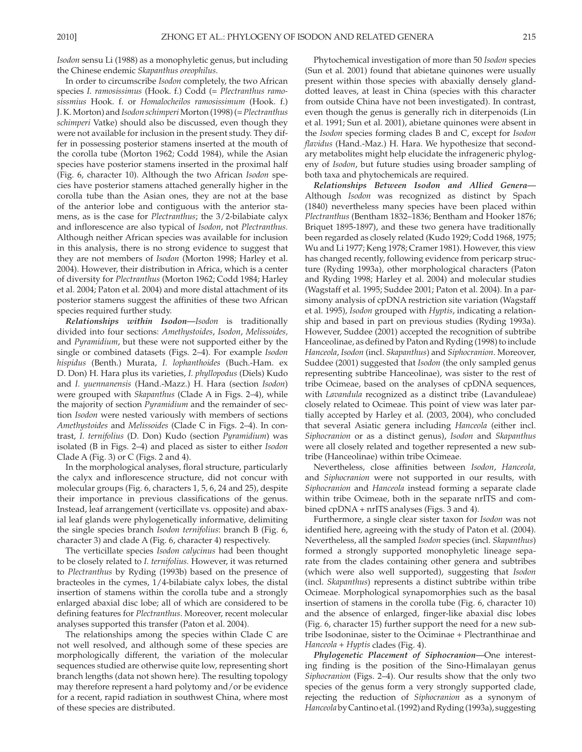*Isodon* sensu Li (1988) as a monophyletic genus, but including the Chinese endemic *Skapanthus oreophilus* .

 In order to circumscribe *Isodon* completely, the two African species *I. ramosissimus* (Hook. f.) Codd (= *Plectranthus ramosissmius* Hook. f. or *Homalocheilos ramosissimum* (Hook. f.) J. K. Morton) and*Isodon schimperi* Morton (1998) (= *Plectranthus schimperi* Vatke) should also be discussed, even though they were not available for inclusion in the present study. They differ in possessing posterior stamens inserted at the mouth of the corolla tube (Morton 1962; Codd 1984), while the Asian species have posterior stamens inserted in the proximal half ( Fig. 6 , character 10). Although the two African *Isodon* species have posterior stamens attached generally higher in the corolla tube than the Asian ones, they are not at the base of the anterior lobe and contiguous with the anterior stamens, as is the case for *Plectranthus*; the 3/2-bilabiate calyx and inflorescence are also typical of *Isodon*, not *Plectranthus*. Although neither African species was available for inclusion in this analysis, there is no strong evidence to suggest that they are not members of *Isodon* (Morton 1998; Harley et al. 2004). However, their distribution in Africa, which is a center of diversity for *Plectranthus* (Morton 1962; Codd 1984; Harley et al. 2004; Paton et al. 2004) and more distal attachment of its posterior stamens suggest the affinities of these two African species required further study.

 *Relationships within Isodon—Isodon* is traditionally divided into four sections: *Amethystoides* , *Isodon* , *Melissoides,* and *Pyramidium*, but these were not supported either by the single or combined datasets ( Figs. 2–4 ). For example *Isodon hispidus* (Benth.) Murata, *I. lophanthoides* (Buch.-Ham. ex D. Don) H. Hara plus its varieties, *I. phyllopodus* (Diels) Kudo and *I. yuennanensis* (Hand.-Mazz.) H. Hara (section *Isodon* ) were grouped with *Skapanthus* (Clade A in Figs. 2-4), while the majority of section *Pyramidium* and the remainder of section *Isodon* were nested variously with members of sections *Amethystoides* and *Melissoides* (Clade C in Figs. 2–4). In contrast, *I. ternifolius* (D. Don) Kudo (section *Pyramidium*) was isolated (B in Figs. 2–4) and placed as sister to either *Isodon* Clade A (Fig. 3) or C (Figs. 2 and 4).

 In the morphological analyses, floral structure, particularly the calyx and inflorescence structure, did not concur with molecular groups (Fig. 6, characters 1, 5, 6, 24 and 25), despite their importance in previous classifications of the genus. Instead, leaf arrangement (verticillate vs. opposite) and abaxial leaf glands were phylogenetically informative, delimiting the single species branch *Isodon ternifolius*: branch B (Fig. 6, character 3) and clade A (Fig. 6, character 4) respectively.

 The verticillate species *Isodon calycinus* had been thought to be closely related to *I. ternifolius.* However, it was returned to *Plectranthus* by Ryding (1993b) based on the presence of bracteoles in the cymes, 1/4-bilabiate calyx lobes, the distal insertion of stamens within the corolla tube and a strongly enlarged abaxial disc lobe; all of which are considered to be defining features for *Plectranthus* . Moreover, recent molecular analyses supported this transfer (Paton et al. 2004).

 The relationships among the species within Clade C are not well resolved, and although some of these species are morphologically different, the variation of the molecular sequences studied are otherwise quite low, representing short branch lengths (data not shown here). The resulting topology may therefore represent a hard polytomy and/or be evidence for a recent, rapid radiation in southwest China, where most of these species are distributed.

 Phytochemical investigation of more than 50 *Isodon* species (Sun et al. 2001) found that abietane quinones were usually present within those species with abaxially densely glanddotted leaves, at least in China (species with this character from outside China have not been investigated). In contrast, even though the genus is generally rich in diterpenoids (Lin et al. 1991; Sun et al. 2001), abietane quinones were absent in the *Isodon* species forming clades B and C, except for *Isodon flavidus* (Hand.-Maz.) H. Hara. We hypothesize that secondary metabolites might help elucidate the infrageneric phylogeny of *Isodon*, but future studies using broader sampling of both taxa and phytochemicals are required.

 *Relationships Between Isodon and Allied Genera—* Although *Isodon* was recognized as distinct by Spach (1840) nevertheless many species have been placed within *Plectranthus* (Bentham 1832–1836; Bentham and Hooker 1876; Briquet 1895-1897), and these two genera have traditionally been regarded as closely related (Kudo 1929; Codd 1968, 1975; Wu and Li 1977; Keng 1978; Cramer 1981). However, this view has changed recently, following evidence from pericarp structure (Ryding 1993a), other morphological characters (Paton and Ryding 1998; Harley et al. 2004) and molecular studies (Wagstaff et al. 1995; Suddee 2001; Paton et al. 2004). In a parsimony analysis of cpDNA restriction site variation (Wagstaff et al. 1995), *Isodon* grouped with *Hyptis*, indicating a relationship and based in part on previous studies (Ryding 1993a). However, Suddee (2001) accepted the recognition of subtribe Hanceolinae, as defined by Paton and Ryding (1998) to include *Hanceola* , *Isodon* (incl. *Skapanthus* ) and *Siphocranion* . Moreover, Suddee (2001) suggested that *Isodon* (the only sampled genus representing subtribe Hanceolinae), was sister to the rest of tribe Ocimeae, based on the analyses of cpDNA sequences, with *Lavandula* recognized as a distinct tribe (Lavanduleae) closely related to Ocimeae. This point of view was later partially accepted by Harley et al. (2003, 2004), who concluded that several Asiatic genera including *Hanceola* (either incl. *Siphocranion* or as a distinct genus), *Isodon* and *Skapanthus* were all closely related and together represented a new subtribe (Hanceolinae) within tribe Ocimeae.

Nevertheless, close affinities between *Isodon*, *Hanceola*, and *Siphocranion* were not supported in our results, with *Siphocranion* and *Hanceola* instead forming a separate clade within tribe Ocimeae, both in the separate nrITS and combined  $cpDNA + nrITS$  analyses (Figs. 3 and 4).

 Furthermore, a single clear sister taxon for *Isodon* was not identified here, agreeing with the study of Paton et al. (2004). Nevertheless, all the sampled *Isodon* species (incl. *Skapanthus* ) formed a strongly supported monophyletic lineage separate from the clades containing other genera and subtribes (which were also well supported), suggesting that *Isodon* (incl. *Skapanthus* ) represents a distinct subtribe within tribe Ocimeae. Morphological synapomorphies such as the basal insertion of stamens in the corolla tube (Fig.  $6$ , character 10) and the absence of enlarged, finger-like abaxial disc lobes (Fig. 6, character 15) further support the need for a new subtribe Isodoninae, sister to the Ociminae + Plectranthinae and *Hanceola* + *Hyptis* clades (Fig. 4).

Phylogenetic Placement of Siphocranion-One interesting finding is the position of the Sino-Himalayan genus Siphocranion (Figs. 2-4). Our results show that the only two species of the genus form a very strongly supported clade, rejecting the reduction of *Siphocranion* as a synonym of *Hanceola* by Cantino et al. (1992) and Ryding (1993a), suggesting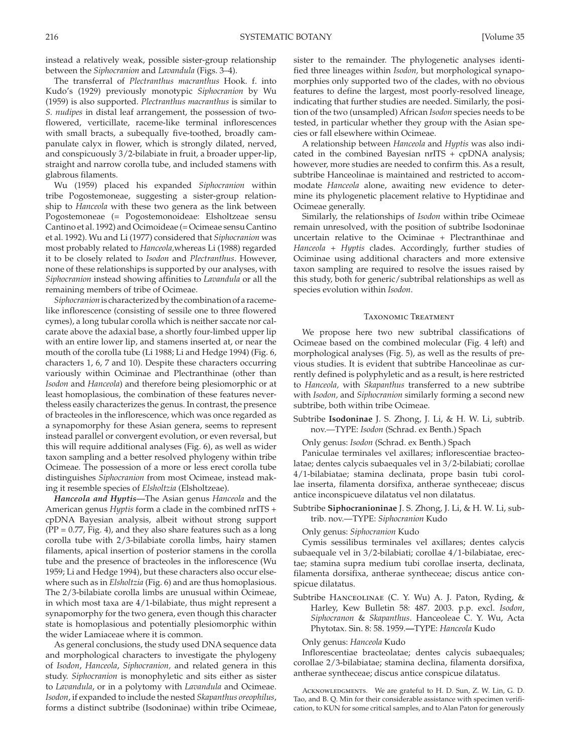instead a relatively weak, possible sister-group relationship between the *Siphocranion* and *Lavandula* (Figs. 3-4).

 The transferral of *Plectranthus macranthus* Hook. f. into Kudo's (1929) previously monotypic *Siphocranion* by Wu (1959) is also supported. *Plectranthus macranthus* is similar to *S. nudipes* in distal leaf arrangement, the possession of twoflowered, verticillate, raceme-like terminal inflorescences with small bracts, a subequally five-toothed, broadly campanulate calyx in flower, which is strongly dilated, nerved, and conspicuously 3/2-bilabiate in fruit, a broader upper-lip, straight and narrow corolla tube, and included stamens with glabrous filaments.

 Wu (1959) placed his expanded *Siphocranion* within tribe Pogostemoneae, suggesting a sister-group relationship to *Hanceola* with these two genera as the link between Pogostemoneae (= Pogostemonoideae: Elsholtzeae sensu Cantino et al. 1992 ) and Ocimoideae (= Ocimeae sensu Cantino et al. 1992). Wu and Li (1977) considered that *Siphocranion* was most probably related to *Hanceola,* whereas Li (1988) regarded it to be closely related to *Isodon* and *Plectranthus* . However, none of these relationships is supported by our analyses, with *Siphocranion* instead showing affinities to *Lavandula* or all the remaining members of tribe of Ocimeae.

*Siphocranion* is characterized by the combination of a racemelike inflorescence (consisting of sessile one to three flowered cymes), a long tubular corolla which is neither saccate nor calcarate above the adaxial base, a shortly four-limbed upper lip with an entire lower lip, and stamens inserted at, or near the mouth of the corolla tube (Li 1988; Li and Hedge 1994) (Fig. 6, characters 1, 6, 7 and 10). Despite these characters occurring variously within Ociminae and Plectranthinae (other than *Isodon* and *Hanceola* ) and therefore being plesiomorphic or at least homoplasious, the combination of these features nevertheless easily characterizes the genus. In contrast, the presence of bracteoles in the inflorescence, which was once regarded as a synapomorphy for these Asian genera, seems to represent instead parallel or convergent evolution, or even reversal, but this will require additional analyses (Fig. 6), as well as wider taxon sampling and a better resolved phylogeny within tribe Ocimeae. The possession of a more or less erect corolla tube distinguishes *Siphocranion* from most Ocimeae, instead making it resemble species of *Elsholtzia* (Elsholtzeae).

 *Hanceola and Hyptis—* The Asian genus *Hanceola* and the American genus *Hyptis* form a clade in the combined nrITS + cpDNA Bayesian analysis, albeit without strong support  $(PP = 0.77, Fig. 4)$ , and they also share features such as a long corolla tube with 2/3-bilabiate corolla limbs, hairy stamen filaments, apical insertion of posterior stamens in the corolla tube and the presence of bracteoles in the inflorescence ( Wu 1959; Li and Hedge 1994), but these characters also occur elsewhere such as in *Elsholtzia* (Fig. 6) and are thus homoplasious. The 2/3-bilabiate corolla limbs are unusual within Ocimeae, in which most taxa are 4/1-bilabiate, thus might represent a synapomorphy for the two genera, even though this character state is homoplasious and potentially plesiomorphic within the wider Lamiaceae where it is common.

 As general conclusions, the study used DNA sequence data and morphological characters to investigate the phylogeny of *Isodon* , *Hanceola* , *Siphocranion,* and related genera in this study. *Siphocranion* is monophyletic and sits either as sister to *Lavandula* , or in a polytomy with *Lavandula* and Ocimeae. *Isodon* , if expanded to include the nested *Skapanthus oreophilus* , forms a distinct subtribe (Isodoninae) within tribe Ocimeae, sister to the remainder. The phylogenetic analyses identified three lineages within *Isodon,* but morphological synapomorphies only supported two of the clades, with no obvious features to define the largest, most poorly-resolved lineage, indicating that further studies are needed. Similarly, the position of the two (unsampled) African *Isodon* species needs to be tested, in particular whether they group with the Asian species or fall elsewhere within Ocimeae.

 A relationship between *Hanceola* and *Hyptis* was also indicated in the combined Bayesian nrITS + cpDNA analysis; however, more studies are needed to confirm this. As a result, subtribe Hanceolinae is maintained and restricted to accommodate *Hanceola* alone, awaiting new evidence to determine its phylogenetic placement relative to Hyptidinae and Ocimeae generally.

 Similarly, the relationships of *Isodon* within tribe Ocimeae remain unresolved, with the position of subtribe Isodoninae uncertain relative to the Ociminae + Plectranthinae and *Hanceola* + *Hyptis* clades. Accordingly, further studies of Ociminae using additional characters and more extensive taxon sampling are required to resolve the issues raised by this study, both for generic/subtribal relationships as well as species evolution within *Isodon* .

## Taxonomic Treatment

 We propose here two new subtribal classifications of Ocimeae based on the combined molecular (Fig. 4 left) and morphological analyses (Fig. 5), as well as the results of previous studies. It is evident that subtribe Hanceolinae as currently defined is polyphyletic and as a result, is here restricted to *Hanceola,* with *Skapanthus* transferred to a new subtribe with *Isodon,* and *Siphocranion* similarly forming a second new subtribe, both within tribe Ocimeae.

 Subtribe **Isodoninae** J. S. Zhong, J. Li, & H. W. Li, subtrib. nov.—TYPE: *Isodon* (Schrad. ex Benth.) Spach

Only genus: *Isodon* (Schrad. ex Benth.) Spach

 Paniculae terminales vel axillares; inflorescentiae bracteolatae; dentes calycis subaequales vel in 3/2-bilabiati; corollae 4/1-bilabiatae; stamina declinata, prope basin tubi corollae inserta, filamenta dorsifixa, antherae syntheceae; discus antice inconspicueve dilatatus vel non dilatatus.

 Subtribe **Siphocranioninae** J. S. Zhong, J. Li, & H. W. Li, subtrib. nov.—TYPE: *Siphocranion* Kudo

Only genus: *Siphocranion* Kudo

 Cymis sessilibus terminales vel axillares; dentes calycis subaequale vel in 3/2-bilabiati; corollae 4/1-bilabiatae, erectae; stamina supra medium tubi corollae inserta, declinata, filamenta dorsifixa, antherae syntheceae; discus antice conspicue dilatatus.

Subtribe HANCEOLINAE (C. Y. Wu) A. J. Paton, Ryding, & Harley, Kew Bulletin 58: 487. 2003. p.p. excl. *Isodon* , *Siphocranon* & *Skapanthus* . Hanceoleae C. Y. Wu, Acta Phytotax. Sin. 8: 58. 1959. **—** TYPE: *Hanceola* Kudo

Only genus: *Hanceola* Kudo

 Inflorescentiae bracteolatae; dentes calycis subaequales; corollae 2/3-bilabiatae; stamina declina, filamenta dorsifixa, antherae syntheceae; discus antice conspicue dilatatus.

ACKNOWLEDGMENTS. We are grateful to H. D. Sun, Z. W. Lin, G. D. Tao, and B. Q. Min for their considerable assistance with specimen verification, to KUN for some critical samples, and to Alan Paton for generously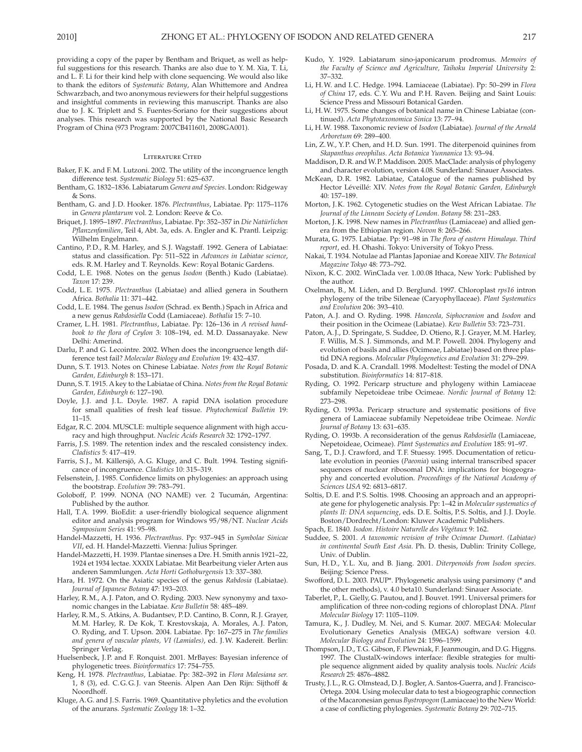providing a copy of the paper by Bentham and Briquet, as well as helpful suggestions for this research. Thanks are also due to Y. M. Xia, T. Li, and L. F. Li for their kind help with clone sequencing. We would also like to thank the editors of *Systematic Botany* , Alan Whittemore and Andrea Schwarzbach, and two anonymous reviewers for their helpful suggestions and insightful comments in reviewing this manuscript. Thanks are also due to J. K. Triplett and S. Fuentes-Soriano for their suggestions about analyses. This research was supported by the National Basic Research Program of China (973 Program: 2007CB411601, 2008GA001).

#### Literature Cited

- Baker, F.K. and F.M. Lutzoni. 2002. The utility of the incongruence length difference test. Systematic Biology 51: 625-637.
- Bentham, G. 1832–1836 . Labiatarum *Genera and Species* . London : Ridgeway & Sons .
- Bentham, G. and J.D. Hooker. 1876. *Plectranthus*, Labiatae. Pp: 1175-1176 in *Genera plantarum* vol. 2. London: Reeve & Co.
- Briquet, J. 1895–1897 . *Plectranthus* , Labiatae . Pp: 352 357 in *Die Natürlichen*  Pflanzenfamilien, Teil 4, Abt. 3a, eds. A. Engler and K. Prantl. Leipzig: Wilhelm Engelmann.
- Cantino, P.D., R.M. Harley, and S.J. Wagstaff. 1992. Genera of Labiatae: status and classification. Pp: 511-522 in *Advances in Labiatae science*, eds. R.M. Harley and T. Reynolds. Kew: Royal Botanic Gardens.
- Codd, L.E. 1968. Notes on the genus *Isodon* (Benth.) Kudo (Labiatae). *Taxon* 17 : 239 .
- Codd, L. E. 1975 . *Plectranthus* (Labiatae) and allied genera in Southern Africa. *Bothalia* 11: 371-442.
- Codd, L. E. 1984 . The genus *Isodon* (Schrad. ex Benth.) Spach in Africa and a new genus *Rabdosiella* Codd (Lamiaceae). *Bothalia* 15: 7-10.
- Cramer, L.H. 1981. Plectranthus, Labiatae. Pp: 126-136 in *A revised handbook to the flora of Ceylon 3: 108-194, ed. M.D. Dassanayake. New* Delhi: Amerind.
- Darlu, P. and G. Lecointre. 2002. When does the incongruence length difference test fail? *Molecular Biology and Evolution* 19: 432-437.
- Dunn, S. T. 1913 . Notes on Chinese Labiatae . *Notes from the Royal Botanic*  Garden, Edinburgh 8: 153-171.
- Dunn, S. T. 1915 . A key to the Labiatae of China . *Notes from the Royal Botanic*  Garden, Edinburgh 6: 127-190.
- Doyle, J.J. and J.L. Doyle. 1987. A rapid DNA isolation procedure for small qualities of fresh leaf tissue . *Phytochemical Bulletin* 19 :  $11 - 15.$
- Edgar, R. C. 2004 . MUSCLE: multiple sequence alignment with high accuracy and high throughput. *Nucleic Acids Research* 32: 1792-1797
- Farris, J.S. 1989. The retention index and the rescaled consistency index. *Cladistics* 5: 417-419.
- Farris, S.J., M. Källersjö, A.G. Kluge, and C. Bult. 1994. Testing significance of incongruence. *Cladistics* 10: 315-319.
- Felsenstein, J. 1985 . Confidence limits on phylogenies: an approach using the bootstrap. *Evolution* 39: 783-791.
- Goloboff, P. 1999. NONA (NO NAME) ver. 2 Tucumán, Argentina: Published by the author.
- Hall, T. A. 1999 . BioEdit: a user-friendly biological sequence alignment editor and analysis program for Windows 95/98/NT . *Nuclear Acids*  Symposium Series 41: 95-98.
- Handel-Mazzetti, H. 1936 . *Plectranthus* . Pp: 937 945 in *Symbolae Sinicae VII*, ed. H. Handel-Mazzetti. Vienna: Julius Springer.
- Handel-Mazzetti, H. 1939 . Plantae sinenses a Dre. H. Smith annis 1921–22, 1924 et 1934 lectae. XXXIX Labiatae. Mit Bearbeitung vieler Arten aus anderen Sammlungen . *Acta Horti Gothoburgensis* 13 : 337 – 380 .
- Hara, H. 1972 . On the Asiatic species of the genus *Rabdosia* (Labiatae) . Journal of Japanese Botany 47: 193-203.
- Harley, R.M., A.J. Paton, and O. Ryding. 2003. New synonymy and taxonomic changes in the Labiatae. *Kew Bulletin* 58: 485-489.
- Harley, R. M., S. Atkins, A. Budantsev, P. D. Cantino, B. Conn, R. J. Grayer, M.M. Harley, R. De Kok, T. Krestovskaja, A. Morales, A.J. Paton, O. Ryding, and T. Upson. 2004. Labiatae. Pp: 167-275 in *The families* and genera of vascular plants, VI (Lamiales), ed. J.W. Kadereit. Berlin: Springer Verlag.
- Huelsenbeck, J.P. and F. Ronquist. 2001. MrBayes: Bayesian inference of phylogenetic trees. *Bioinformatics* 17: 754-755
- Keng, H. 1978. Plectranthus, Labiatae. Pp: 382-392 in Flora Malesiana ser. 1, 8 (3), ed. C.G.G.J. van Steenis. Alpen Aan Den Rijn: Sijthoff & Noordhoff.
- Kluge, A.G. and J.S. Farris. 1969. Quantitative phyletics and the evolution of the anurans. Systematic Zoology 18: 1-32.
- Kudo, Y. 1929 . Labiatarum sino-japonicarum prodromus . *Memoirs of*  the Faculty of Science and Agriculture, Taihoku Imperial University 2: 37 – 332
- Li, H. W. and I. C. Hedge . 1994 . Lamiaceae (Labiatae) . Pp: 50 299 in *Flora* of China 17, eds. C.Y. Wu and P.H. Raven. Beijing and Saint Louis: Science Press and Missouri Botanical Garden.
- Li, H. W. 1975 . Some changes of botanical name in Chinese Labiatae (continued). Acta Phytotaxonomica Sinica 13: 77-94.
- Li, H. W. 1988 . Taxonomic review of *Isodon* (Labiatae) . *Journal of the Arnold Arboretum* 69 : 289 – 400 .
- Lin, Z.W., Y.P. Chen, and H.D. Sun. 1991. The diterpenoid quinines from *Skapanthus oreophilus* . *Acta Botanica Yunnanica* 13 : 93 – 94 .
- Maddison, D. R. and W. P. Maddison. 2005. MacClade: analysis of phylogeny and character evolution, version 4.08. Sunderland: Sinauer Associates.
- McKean, D.R. 1982. Labiatae, Catalogue of the names published by Hector Léveillé: XIV. Notes from the Royal Botanic Garden, Edinburgh  $40 \cdot 157 - 189$
- Morton, J. K. 1962 . Cytogenetic studies on the West African Labiatae . *The* Journal of the Linnean Society of London. Botany 58: 231-283.
- Morton, J. K. 1998 . New names in *Plectranthus* (Lamiaceae) and allied genera from the Ethiopian region. *Novon* 8: 265-266.
- Murata, G. 1975 . Labiatae . Pp: 91 98 in *The flora of eastern Himalaya. Third*  report, ed. H. Ohashi. Tokyo: University of Tokyo Press.
- Nakai, T. 1934 . Notulae ad Plantas Japoniae and Koreae XIIV . *The Botanical Magazine Tokyo* 48: 773-792.
- Nixon, K.C. 2002. WinClada ver. 1.00.08 Ithaca, New York: Published by the author.
- Oxelman, B., M. Liden, and D. Berglund. 1997. Chloroplast rps16 intron phylogeny of the tribe Sileneae (Caryophyllaceae) . *Plant Systematics*  and Evolution 206: 393-410.
- Paton, A.J. and O. Ryding. 1998. *Hanceola, Siphocranion* and *Isodon* and their position in the Ocimeae (Labiatae). *Kew Bulletin* 53: 723-731.
- Paton, A. J., D. Springate, S. Suddee, D. Otieno, R. J. Grayer, M. M. Harley, F. Willis, M.S. J. Simmonds, and M.P. Powell. 2004. Phylogeny and evolution of basils and allies (Ocimeae, Labiatae) based on three plastid DNA regions. *Molecular Phylogenetics and Evolution* 31: 279–299.
- Posada, D. and K.A. Crandall. 1998. Modeltest: Testing the model of DNA substitution. *Bioinformatics* 14: 817-818.
- Ryding, O. 1992 . Pericarp structure and phylogeny within Lamiaceae subfamily Nepetoideae tribe Ocimeae. *Nordic Journal of Botany* 12: 273-298.
- Ryding, O. 1993a . Pericarp structure and systematic positions of five genera of Lamiaceae subfamily Nepetoideae tribe Ocimeae . *Nordic Journal of Botany* 13: 631–635.
- Ryding, O. 1993b . A reconsideration of the genus *Rabdosiella* (Lamiaceae, Nepetoideae, Ocimeae). *Plant Systematics and Evolution* 185: 91–97.
- Sang, T., D.J. Crawford, and T.F. Stuessy. 1995. Documentation of reticulate evolution in peonies (Paeonia) using internal transcribed spacer sequences of nuclear ribosomal DNA: implications for biogeography and concerted evolution . *Proceedings of the National Academy of Sciences USA 92: 6813-6817.*
- Soltis, D. E. and P.S. Soltis. 1998. Choosing an approach and an appropriate gene for phylogenetic analysis . Pp: 1 – 42 in *Molecular systematics of*  plants II: DNA sequencing, eds. D. E. Soltis, P. S. Soltis, and J. J. Doyle. Boston/Dordrecht/London: Kluwer Academic Publishers.

Spach, E. 1840. Isodon. Histoire Naturelle des Végétaux 9: 162.

- Suddee, S. 2001. *A taxonomic revision of tribe Ocimeae Dumort.* (Labiatae) *in continental South East Asia*. Ph. D. thesis, Dublin: Trinity College, Univ. of Dublin.
- Sun, H.D., Y.L. Xu, and B. Jiang. 2001. *Diterpenoids from Isodon species*. Beijing: Science Press.
- Swofford, D.L. 2003. PAUP\*. Phylogenetic analysis using parsimony (\* and the other methods), v. 4.0 beta10. Sunderland: Sinauer Associate.
- Taberlet, P., L. Gielly, G. Pautou, and J. Bouvet. 1991. Universal primers for amplification of three non-coding regions of chloroplast DNA . *Plant Molecular Biology* 17 : 1105 – 1109 .
- Tamura, K., J. Dudley, M. Nei, and S. Kumar. 2007. MEGA4: Molecular Evolutionary Genetics Analysis (MEGA) software version 4.0 . *Molecular Biology and Evolution* 24 : 1596 – 1599 .
- Thompson, J.D., T.G. Gibson, F. Plewniak, F. Jeanmougin, and D.G. Higgns. 1997. The ClustalX-windows interface: flexible strategies for multiple sequence alignment aided by quality analysis tools . *Nucleic Acids Research* 25 : 4876 – 4882 .
- Trusty, J. L., R. G. Olmstead, D. J. Bogler, A. Santos-Guerra, and J. Francisco-Ortega. 2004. Using molecular data to test a biogeographic connection of the Macaronesian genus *Bystropogon* (Lamiaceae) to the New World: a case of conflicting phylogenies. Systematic Botany 29: 702-715.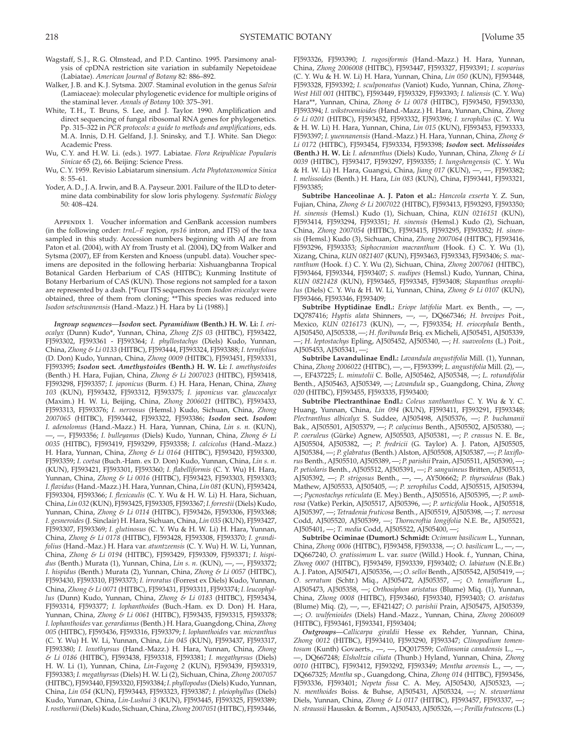- Wagstaff, S.J., R.G. Olmstead, and P.D. Cantino. 1995. Parsimony analysis of cpDNA restriction site variation in subfamily Nepetoideae (Labiatae) . *American Journal of Botany* 82 : 886 – 892 .
- Walker, J. B. and K. J. Sytsma . 2007 . Staminal evolution in the genus *Salvia* (Lamiaceae): molecular phylogenetic evidence for multiple origins of the staminal lever. Annals of Botany 100: 375-391.
- White, T.H., T. Bruns, S. Lee, and J. Taylor. 1990. Amplification and direct sequencing of fungal ribosomal RNA genes for phylogenetics . Pp. 315 – 322 in *PCR protocols: a guide to methods and amplifications* , eds. M. A. Innis, D. H. Gelfand, J. J. Sninsky, and T. J. White. San Diego: Academic Press .
- Wu, C. Y. and H. W. Li . (eds.). 1977 . Labiatae . *Flora Reipublicae Popularis*  Sinicae 65 (2), 66. Beijing: Science Press.
- Wu, C. Y. 1959 . Revisio Labiatarum sinensium . *Acta Phytotaxonomica Sinica*  $8:55 - 61.$
- Yoder, A.D., J.A. Irwin, and B.A. Payseur. 2001. Failure of the ILD to determine data combinability for slow loris phylogeny . *Systematic Biology* 50: 408-424.

APPENDIX 1. Voucher information and GenBank accession numbers (in the following order: *trnL–F* region, *rps16* intron, and ITS) of the taxa sampled in this study. Accession numbers beginning with AJ are from Paton et al. (2004), with AY from Trusty et al. (2004), DQ from Walker and Sytsma (2007), EF from Kersten and Knoess (unpubl. data). Voucher specimens are deposited in the following herbaria: Xishuangbanna Tropical Botanical Garden Herbarium of CAS (HITBC); Kunming Institute of Botany Herbarium of CAS (KUN). Those regions not sampled for a taxon are represented by a dash. [\*Four ITS sequences from *Isodon eriocalyx* were obtained, three of them from cloning; \*\*This species was reduced into *Isodon setschwanensis* (Hand.-Mazz.) H. Hara by Li (1988) .]

*Ingroup sequences*— *Isodon* **sect.** *Pyramidium* **(Benth.) H. W. Li:** *I. eriocalyx* (Dunn) Kudo\*, Yunnan, China, *Zhong ZJS 03* (HITBC), FJ593422, FJ593302, FJ593361 - FJ593364; *I. phyllostachys* (Diels) Kudo, Yunnan, China, *Zhong & Li 0133* (HITBC), FJ593444, FJ593324, FJ593388; *I. ternifolius* (D. Don) Kudo, Yunnan, China, *Zhong 0009* (HITBC), FJ593451, FJ593331, FJ593395; *Isodon* **sect.** *Amethystoides* **(Benth.) H. W. Li:** *I. amethystoides* (Benth.) H. Hara, Fujian, China, *Zhong & Li 2007023* (HITBC), FJ593418, FJ593298, FJ593357; *I. japonicus* (Burm. f.) H. Hara, Henan, China, *Zhang 103* (KUN), FJ593432, FJ593312, FJ593375; *I. japonicus* var. *glaucocalyx* (Maxim.) H. W. Li, Beijing, China, *Zhong 2006021* (HITBC), FJ593433, FJ593313, FJ593376; *I. nervosus* (Hemsl.) Kudo, Sichuan, China, *Zhong 2007065* (HITBC), FJ593442, FJ593322, FJ593386; *Isodon* **sect.** *Isodon* **:** *I. adenolomus* (Hand.-Mazz.) H. Hara, Yunnan, China, *Lin s. n.* (KUN), —, —, FJ593356; *I. bulleyanus* (Diels) Kudo, Yunnan, China, *Zhong & Li 0035* (HITBC), FJ593419, FJ593299, FJ593358; *I. calcicolus* (Hand.-Mazz.) H. Hara, Yunnan, China, *Zhong & Li 0164* (HITBC), FJ593420, FJ593300, FJ593359; *I. coetsa* (Buch.-Ham. ex D. Don) Kudo, Yunnan, China, *Lin s. n.* (KUN), FJ593421, FJ593301, FJ593360; *I. flabelliformis* (C. Y. Wu) H. Hara, Yunnan, China, *Zhong & Li 0016* (HITBC), FJ593423, FJ593303, FJ593303; *I. flavidus* (Hand.-Mazz.) H. Hara, Yunnan, China, *Lin 081* (KUN), FJ593424, FJ593304, FJ593366; *I. flexicaulis* (C. Y. Wu & H. W. Li) H. Hara, Sichuan, China, *Lin 032* (KUN), FJ593425, FJ593305, FJ593367; *I. forrestii* (Diels) Kudo, Yunnan, China, *Zhong & Li 0114* (HITBC), FJ593426, FJ593306, FJ593368; *I. gesneroides* (J. Sinclair) H. Hara, Sichuan, China, *Lin 035* (KUN), FJ593427, FJ593307, FJ593369; *I. glutinosus* (C. Y. Wu & H. W. Li) H. Hara, Yunnan, China, *Zhong & Li 0178* (HITBC), FJ593428, FJ593308, FJ593370; *I. grandifolius* (Hand.-Maz.) H. Hara var. *atuntzeensis* (C. Y. Wu) H. W. Li, Yunnan, China, *Zhong & Li 0194* (HITBC), FJ593429, FJ593309, FJ593371; *I. hispidus* (Benth.) Murata (1), Yunnan, China, *Lin s. n.* (KUN), —, —, FJ593372; *I. hispidus* (Benth.) Murata (2), Yunnan, China, *Zhong & Li 0057* (HITBC), FJ593430, FJ593310, FJ593373; *I. irroratus* (Forrest ex Diels) Kudo, Yunnan, China, *Zhong & Li 0071* (HITBC), FJ593431, FJ593311, FJ593374; *I. leucophyllus* (Dunn) Kudo, Yunnan, China, *Zhong & Li 0183* (HITBC), FJ593434, FJ593314, FJ593377; *I. lophanthoides* (Buch.-Ham. ex D. Don) H. Hara, Yunnan, China, *Zhong & Li 0061* (HITBC), FJ593435, FJ593315, FJ593378; *I. lophanthoides* var. *gerardianus* (Benth.) H. Hara, Guangdong, China, *Zhong 005* (HITBC), FJ593436, FJ593316, FJ593379; *I. lophanthoides* var. *micranthus* (C. Y. Wu) H. W. Li, Yunnan, China, *Lin 045* (KUN), FJ593437, FJ593317, FJ593380; *I. loxothyrsus* (Hand.-Mazz.) H. Hara, Yunnan, China, *Zhong & Li 0186* (HITBC), FJ593438, FJ593318, FJ593381; *I. megathyrsus* (Diels) H. W. Li (1), Yunnan, China, *Lin-Fugong 2* (KUN), FJ593439, FJ593319, FJ593383; *I. megathyrsus* (Diels) H. W. Li (2), Sichuan, China, *Zhong 2007057* (HITBC), FJ593440, FJ593320, FJ593384;*I. phyllopodus* (Diels) Kudo, Yunnan, China, *Lin 054* (KUN), FJ593443, FJ593323, FJ593387; *I. pleiophyllus* (Diels) Kudo, Yunnan, China, *Lin-Lushui 3* (KUN), FJ593445, FJ593325, FJ593389; *I. rosthornii* (Diels) Kudo, Sichuan, China, *Zhong 2007051* (HITBC), FJ593446, FJ593326, FJ593390; *I. rugosiformis* (Hand.-Mazz.) H. Hara, Yunnan, China, *Zhong 2006008* (HITBC), FJ593447, FJ593327, FJ593391; *I. scoparius* (C. Y. Wu & H. W. Li) H. Hara, Yunnan, China, *Lin 050* (KUN), FJ593448, FJ593328, FJ593392; *I. sculponeatus* (Vaniot) Kudo, Yunnan, China, *Zhong-West Hill 001* (HITBC), FJ593449, FJ593329, FJ593393; *I. taliensis* (C. Y. Wu) Hara\*\*, Yunnan, China, *Zhong & Li 0078* (HITBC), FJ593450, FJ593330, FJ593394; *I. wikstroemioides* (Hand.-Mazz.) H. Hara, Yunnan, China, *Zhong & Li 0201* (HITBC), FJ593452, FJ593332, FJ593396; *I. xerophilus* (C. Y. Wu & H. W. Li) H. Hara, Yunnan, China, *Lin 015* (KUN), FJ593453, FJ593333, FJ593397; *I. yuennanensis* (Hand.-Mazz.) H. Hara, Yunnan, China, *Zhong & Li 0172* (HITBC), FJ593454, FJ593334, FJ593398; *Isodon* **sect.** *Melissoides* **(Benth.) H. W. Li:** *I. adenanthus* (Diels) Kudo, Yunnan, China, *Zhong & Li 0039* (HITBC), FJ593417, FJ593297, FJ593355; *I. lungshengensis* (C. Y. Wu & H. W. Li) H. Hara, Guangxi, China, *Jiang 017* (KUN), —, —, FJ593382; *I. melissoides* (Benth.) H. Hara, *Lin 083* (KUN), China, FJ593441, FJ593321, FJ593385;

**Subtribe Hanceolinae A. J. Paton et al.:** *Hanceola exserta* Y. Z. Sun, Fujian, China, *Zhong & Li 2007022* (HITBC), FJ593413, FJ593293, FJ593350; *H. sinensis* (Hemsl.) Kudo (1), Sichuan, China, *KUN 0216151* (KUN), FJ593414, FJ593294, FJ593351; *H. sinensis* (Hemsl.) Kudo (2), Sichuan, China, *Zhong 2007054* (HITBC), FJ593415, FJ593295, FJ593352; *H. sinensis* (Hemsl.) Kudo (3), Sichuan, China, *Zhong 2007064* (HITBC), FJ593416, FJ593296, FJ593353; *Siphocranion macranthum* (Hook. f.) C. Y. Wu (1), Xizang, China, *KUN 0821407* (KUN), FJ593463, FJ593343, FJ593406; *S. macranthum* (Hook. f.) C. Y. Wu (2), Sichuan, China, *Zhong 2007061* (HITBC), FJ593464, FJ593344, FJ593407; *S. nudipes* (Hemsl.) Kudo, Yunnan, China, *KUN 0821428* (KUN), FJ593465, FJ593345, FJ593408; *Skapanthus oreophilus* (Diels) C. Y. Wu & H. W. Li, Yunnan, China, *Zhong & Li 0107* (KUN), FJ593466, FJ593346, FJ593409;

**Subtribe Hyptidinae Endl.:** *Eriope latifolia* Mart. ex Benth., —, —, DQ787416; *Hyptis alata* Shinners, —, —, DQ667346; *H. brevipes* Poit., Mexico, *KUN 0216173* (KUN), —, —, FJ593354; *H. eriocephala* Benth., AJ505450, AJ505338, —; *H. floribunda* Briq. ex Micheli, AJ505451, AJ505339, —; *H. leptostachys* Epling, AJ505452, AJ505340, —; *H. suaveolens* (L.) Poit., AJ505453, AJ505341, —;

**Subtribe Lavandulinae Endl.:** *Lavandula angustifolia* Mill. (1), Yunnan, China, *Zhong 2006022* (HITBC), —, —, FJ593399; *L. angustifolia* Mill. (2), —, —, EF437225; *L. minutolii* C. Bolle, AJ505462, AJ505348, —; *L. rotundifolia* Benth., AJ505463, AJ505349, —; *Lavandula* sp., Guangdong, China, *Zhong 020* (HITBC), FJ593455, FJ593335, FJ593400;

**Subtribe Plectranthinae Endl.:** *Coleus xanthanthus* C. Y. Wu & Y. C. Huang, Yunnan, China, *Lin 094* (KUN), FJ593411, FJ593291, FJ593348; *Plectranthus albicalyx* S. Suddee, AJ505498, AJ505376, —; *P. buchananii* Bak., AJ505501, AJ505379, —; *P. calycinus* Benth., AJ505502, AJ505380, —; *P. coeruleus* (Gürke) Agnew, AJ505503, AJ505381, —; *P. crassus* N. E. Br., AJ505504, AJ505382, —; *P. fredricii* (G. Taylor) A. J. Paton, AJ505505, AJ505384, —; *P. glabratus* (Benth.) Alston, AJ505508, AJ505387, —; *P. laxiflorus* Benth., AJ505510, AJ505389, —; *P. parishii* Prain, AJ505511, AJ505390, —; *P. petiolaris* Benth., AJ505512, AJ505391, —; *P. sanguineus* Britten, AJ505513, AJ505392, —; *P. strigosus* Benth., —, —, AY506662; *P. thyrsoideus* (Bak.) Mathew, AJ505533, AJ505405, —; *P. xerophilus* Codd, AJ505515, AJ505394, —; *Pycnostachys reticulata* (E. Mey.) Benth., AJ505516, AJ505395, —; *P. umbrosa* (Vatke) Perkin, AJ505517, AJ505396, —; *P. urticifolia* Hook., AJ505518, AJ505397, —; *Tetradenia fruticosa* Benth., AJ505519, AJ505398, —; *T. nervosa* Codd, AJ505520, AJ505399, —; *Thorncroftia longifolia* N.E. Br., AJ505521, AJ505401, —; *T. media* Codd, AJ505522, AJ505400, —;

**Subtribe Ociminae (Dumort.) Schmidt:** *Ocimum basilicum* L., Yunnan, China, *Zhong 0006* (HITBC), FJ593458, FJ593338, —; *O. basilicum* L., —, —, DQ667240, *O. gratissimum* L. var. *suave* (Willd.) Hook. f., Yunnan, China, *Zhong 0007* (HITBC), FJ593459, FJ593339, FJ593402; *O. labiatum* (N.E.Br.) A. J. Paton, AJ505471, AJ505356, —; *O. selloi* Benth., AJ505542, AJ505419, —; *O. serratum* (Schtr.) Miq., AJ505472, AJ505357, —; *O. tenuiflorum* L., AJ505473, AJ505358, —; *Orthosiphon aristatus* (Blume) Miq. (1), Yunnan, China, *Zhong 0008* (HITBC), FJ593460, FJ593340, FJ593403; *O. aristatus* (Blume) Miq. (2), —, —, EF421427; *O. parishii* Prain, AJ505475, AJ505359, —; *O. wulfenioides* (Diels) Hand.-Mazz., Yunnan, China, *Zhong 2006009* (HITBC), FJ593461, FJ593341, FJ593404;

*Outgroups*— *Callicarpa giraldii* Hesse ex Rehder, Yunnan, China, *Zhong 0012* (HITBC), FJ593410, FJ593290, FJ593347; *Clinopodium tomentosum* (Kunth) Govaerts., —, —, DQ017559; *Collinsonia canadensis* L., —, —, DQ667248; *Elsholtzia ciliata* (Thunb.) Hyland, Yunnan, China, *Zhong 0010* (HITBC), FJ593412, FJ593292, FJ593349; *Mentha arvensis* L., —, —, DQ667325; *Mentha* sp., Guangdong, China, *Zhong 014* (HITBC), FJ593456, FJ593336, FJ593401; *Nepeta fissa* C. A. Mey, AJ505430, AJ505323, —; *N. menthoides* Boiss. & Buhse, AJ505431, AJ505324, —; *N. stewartiana* Diels, Yunnan, China, *Zhong & Li 0117* (HITBC), FJ593457, FJ593337, —; *N. straussii* Hausskn. & Bornm., AJ505433, AJ505326, —; *Perilla frutescens* (L.)